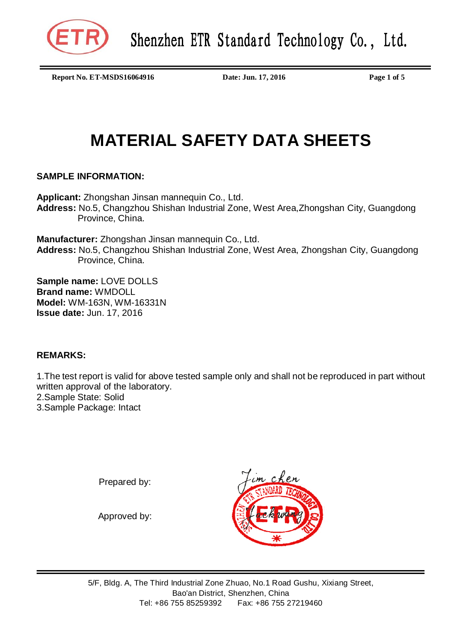

**Report No. ET-MSDS16064916 Date: Jun. 17, 2016 Page 1 of 5**

# **MATERIAL SAFETY DATA SHEETS**

## **SAMPLE INFORMATION:**

**Applicant:** Zhongshan Jinsan mannequin Co., Ltd. **Address:** No.5, Changzhou Shishan Industrial Zone, West Area,Zhongshan City, Guangdong Province, China.

**Manufacturer:** Zhongshan Jinsan mannequin Co., Ltd. **Address:** No.5, Changzhou Shishan Industrial Zone, West Area, Zhongshan City, Guangdong Province, China.

**Sample name:** LOVE DOLLS **Brand name:** WMDOLL **Model:** WM-163N, WM-16331N **Issue date:** Jun. 17, 2016

# **REMARKS:**

1.The test report is valid for above tested sample only and shall not be reproduced in part without written approval of the laboratory. 2.Sample State: Solid 3.Sample Package: Intact

Prepared by:

Approved by:

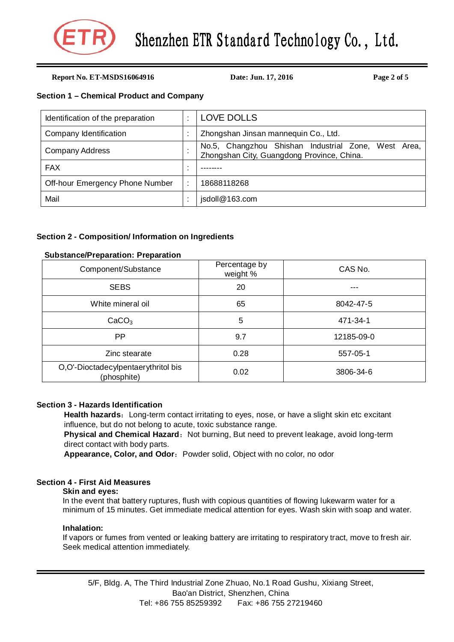

**Report No. ET-MSDS16064916 Date: Jun. 17, 2016 Page 2 of 5**

## **Section 1 – Chemical Product and Company**

| Identification of the preparation |    | <b>LOVE DOLLS</b>                                                                                    |  |  |
|-----------------------------------|----|------------------------------------------------------------------------------------------------------|--|--|
| Company Identification            |    | Zhongshan Jinsan mannequin Co., Ltd.                                                                 |  |  |
| Company Address                   |    | No.5, Changzhou Shishan Industrial Zone, West<br>Area.<br>Zhongshan City, Guangdong Province, China. |  |  |
| <b>FAX</b>                        | ٠. |                                                                                                      |  |  |
| Off-hour Emergency Phone Number   |    | 18688118268                                                                                          |  |  |
| Mail                              |    | jsdoll@163.com                                                                                       |  |  |

## **Section 2 - Composition/ Information on Ingredients**

## **Substance/Preparation: Preparation**

| Component/Substance                                | Percentage by<br>weight % | CAS No.    |  |
|----------------------------------------------------|---------------------------|------------|--|
| <b>SEBS</b>                                        | 20                        |            |  |
| White mineral oil                                  | 65                        | 8042-47-5  |  |
| CaCO <sub>3</sub>                                  | 5                         | 471-34-1   |  |
| PP.                                                | 9.7                       | 12185-09-0 |  |
| Zinc stearate                                      | 0.28                      | 557-05-1   |  |
| O,O'-Dioctadecylpentaerythritol bis<br>(phosphite) | 0.02                      | 3806-34-6  |  |

## **Section 3 - Hazards Identification**

**Health hazards:** Long-term contact irritating to eyes, nose, or have a slight skin etc excitant influence, but do not belong to acute, toxic substance range.

Physical and Chemical Hazard: Not burning, But need to prevent leakage, avoid long-term direct contact with body parts.

Appearance, Color, and Odor: Powder solid, Object with no color, no odor

## **Section 4 - First Aid Measures**

## **Skin and eyes:**

In the event that battery ruptures, flush with copious quantities of flowing lukewarm water for a minimum of 15 minutes. Get immediate medical attention for eyes. Wash skin with soap and water.

## **Inhalation:**

If vapors or fumes from vented or leaking battery are irritating to respiratory tract, move to fresh air. Seek medical attention immediately.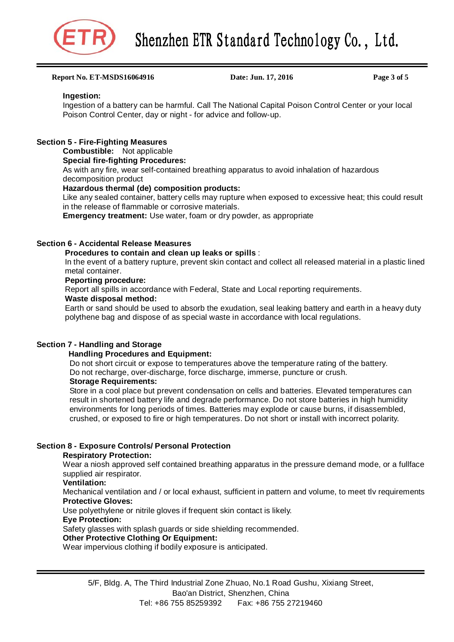

#### **Report No. ET-MSDS16064916 Date: Jun. 17, 2016 Page 3 of 5**

#### **Ingestion:**

Ingestion of a battery can be harmful. Call The National Capital Poison Control Center or your local Poison Control Center, day or night - for advice and follow-up.

## **Section 5 - Fire-Fighting Measures**

## **Combustible:** Not applicable

## **Special fire-fighting Procedures:**

As with any fire, wear self-contained breathing apparatus to avoid inhalation of hazardous decomposition product

#### **Hazardous thermal (de) composition products:**

Like any sealed container, battery cells may rupture when exposed to excessive heat; this could result in the release of flammable or corrosive materials.

**Emergency treatment:** Use water, foam or dry powder, as appropriate

## **Section 6 - Accidental Release Measures**

#### **Procedures to contain and clean up leaks or spills** :

In the event of a battery rupture, prevent skin contact and collect all released material in a plastic lined metal container.

## **Peporting procedure:**

Report all spills in accordance with Federal, State and Local reporting requirements.

### **Waste disposal method:**

Earth or sand should be used to absorb the exudation, seal leaking battery and earth in a heavy duty polythene bag and dispose of as special waste in accordance with local regulations.

## **Section 7 - Handling and Storage**

## **Handling Procedures and Equipment:**

Do not short circuit or expose to temperatures above the temperature rating of the battery. Do not recharge, over-discharge, force discharge, immerse, puncture or crush.

## **Storage Requirements:**

Store in a cool place but prevent condensation on cells and batteries. Elevated temperatures can result in shortened battery life and degrade performance. Do not store batteries in high humidity environments for long periods of times. Batteries may explode or cause burns, if disassembled, crushed, or exposed to fire or high temperatures. Do not short or install with incorrect polarity.

## **Section 8 - Exposure Controls/ Personal Protection**

#### **Respiratory Protection:**

Wear a niosh approved self contained breathing apparatus in the pressure demand mode, or a fullface supplied air respirator.

## **Ventilation:**

Mechanical ventilation and / or local exhaust, sufficient in pattern and volume, to meet tlv requirements **Protective Gloves:**

Use polyethylene or nitrile gloves if frequent skin contact is likely.

#### **Eye Protection:**

Safety glasses with splash guards or side shielding recommended.

## **Other Protective Clothing Or Equipment:**

Wear impervious clothing if bodily exposure is anticipated.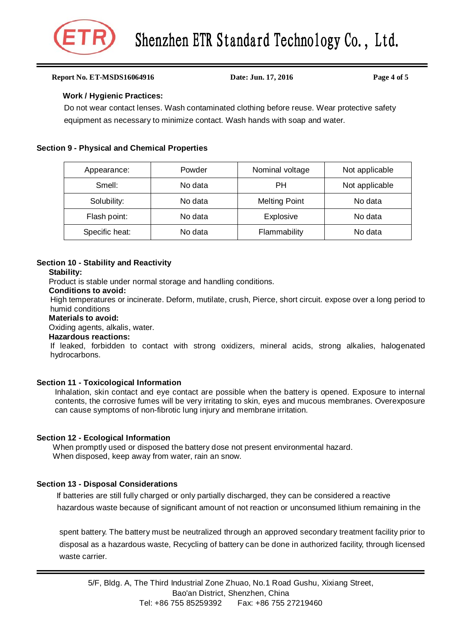

#### **Report No. ET-MSDS16064916 Date: Jun. 17, 2016 Page 4 of 5**

## **Work / Hygienic Practices:**

Do not wear contact lenses. Wash contaminated clothing before reuse. Wear protective safety equipment as necessary to minimize contact. Wash hands with soap and water.

## **Section 9 - Physical and Chemical Properties**

| Appearance:    | Powder  | Nominal voltage      | Not applicable |
|----------------|---------|----------------------|----------------|
| Smell:         | No data | PН                   | Not applicable |
| Solubility:    | No data | <b>Melting Point</b> | No data        |
| Flash point:   | No data | Explosive            | No data        |
| Specific heat: | No data | Flammability         | No data        |

## **Section 10 - Stability and Reactivity**

#### **Stability:**

Product is stable under normal storage and handling conditions.

## **Conditions to avoid:**

High temperatures or incinerate. Deform, mutilate, crush, Pierce, short circuit. expose over a long period to humid conditions

#### **Materials to avoid:**

Oxiding agents, alkalis, water.

#### **Hazardous reactions:**

If leaked, forbidden to contact with strong oxidizers, mineral acids, strong alkalies, halogenated hydrocarbons.

## **Section 11 - Toxicological Information**

Inhalation, skin contact and eye contact are possible when the battery is opened. Exposure to internal contents, the corrosive fumes will be very irritating to skin, eyes and mucous membranes. Overexposure can cause symptoms of non-fibrotic lung injury and membrane irritation.

## **Section 12 - Ecological Information**

When promptly used or disposed the battery dose not present environmental hazard. When disposed, keep away from water, rain an snow.

## **Section 13 - Disposal Considerations**

 If batteries are still fully charged or only partially discharged, they can be considered a reactive hazardous waste because of significant amount of not reaction or unconsumed lithium remaining in the

spent battery. The battery must be neutralized through an approved secondary treatment facility prior to disposal as a hazardous waste, Recycling of battery can be done in authorized facility, through licensed waste carrier.